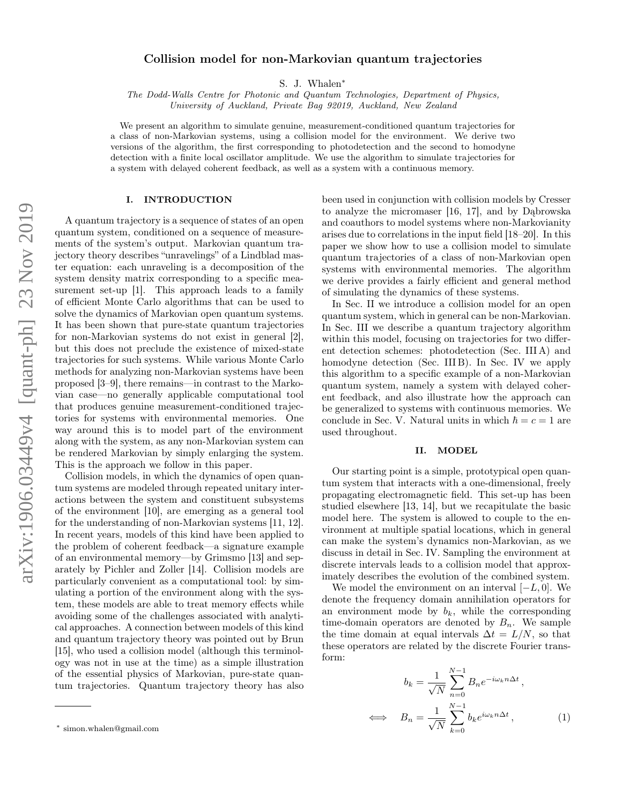# Collision model for non-Markovian quantum trajectories

S. J. Whalen[∗](#page-0-0)

The Dodd-Walls Centre for Photonic and Quantum Technologies, Department of Physics, University of Auckland, Private Bag 92019, Auckland, New Zealand

We present an algorithm to simulate genuine, measurement-conditioned quantum trajectories for a class of non-Markovian systems, using a collision model for the environment. We derive two versions of the algorithm, the first corresponding to photodetection and the second to homodyne detection with a finite local oscillator amplitude. We use the algorithm to simulate trajectories for a system with delayed coherent feedback, as well as a system with a continuous memory.

## I. INTRODUCTION

A quantum trajectory is a sequence of states of an open quantum system, conditioned on a sequence of measurements of the system's output. Markovian quantum trajectory theory describes "unravelings" of a Lindblad master equation: each unraveling is a decomposition of the system density matrix corresponding to a specific measurement set-up [\[1\]](#page-6-0). This approach leads to a family of efficient Monte Carlo algorithms that can be used to solve the dynamics of Markovian open quantum systems. It has been shown that pure-state quantum trajectories for non-Markovian systems do not exist in general [\[2\]](#page-6-1), but this does not preclude the existence of mixed-state trajectories for such systems. While various Monte Carlo methods for analyzing non-Markovian systems have been proposed [\[3–](#page-6-2)[9\]](#page-6-3), there remains—in contrast to the Markovian case—no generally applicable computational tool that produces genuine measurement-conditioned trajectories for systems with environmental memories. One way around this is to model part of the environment along with the system, as any non-Markovian system can be rendered Markovian by simply enlarging the system. This is the approach we follow in this paper.

Collision models, in which the dynamics of open quantum systems are modeled through repeated unitary interactions between the system and constituent subsystems of the environment [\[10\]](#page-6-4), are emerging as a general tool for the understanding of non-Markovian systems [\[11,](#page-6-5) [12\]](#page-7-0). In recent years, models of this kind have been applied to the problem of coherent feedback—a signature example of an environmental memory—by Grimsmo [\[13\]](#page-7-1) and separately by Pichler and Zoller [\[14\]](#page-7-2). Collision models are particularly convenient as a computational tool: by simulating a portion of the environment along with the system, these models are able to treat memory effects while avoiding some of the challenges associated with analytical approaches. A connection between models of this kind and quantum trajectory theory was pointed out by Brun [\[15\]](#page-7-3), who used a collision model (although this terminology was not in use at the time) as a simple illustration of the essential physics of Markovian, pure-state quantum trajectories. Quantum trajectory theory has also

been used in conjunction with collision models by Cresser to analyze the micromaser [\[16,](#page-7-4) [17\]](#page-7-5), and by Dąbrowska and coauthors to model systems where non-Markovianity arises due to correlations in the input field [\[18–](#page-7-6)[20\]](#page-7-7). In this paper we show how to use a collision model to simulate quantum trajectories of a class of non-Markovian open systems with environmental memories. The algorithm we derive provides a fairly efficient and general method of simulating the dynamics of these systems.

In Sec. [II](#page-0-1) we introduce a collision model for an open quantum system, which in general can be non-Markovian. In Sec. [III](#page-1-0) we describe a quantum trajectory algorithm within this model, focusing on trajectories for two different detection schemes: photodetection (Sec. [III A\)](#page-3-0) and homodyne detection (Sec. [III B\)](#page-3-1). In Sec. [IV](#page-4-0) we apply this algorithm to a specific example of a non-Markovian quantum system, namely a system with delayed coherent feedback, and also illustrate how the approach can be generalized to systems with continuous memories. We conclude in Sec. [V.](#page-5-0) Natural units in which  $\hbar = c = 1$  are used throughout.

# <span id="page-0-1"></span>II. MODEL

Our starting point is a simple, prototypical open quantum system that interacts with a one-dimensional, freely propagating electromagnetic field. This set-up has been studied elsewhere [\[13,](#page-7-1) [14\]](#page-7-2), but we recapitulate the basic model here. The system is allowed to couple to the environment at multiple spatial locations, which in general can make the system's dynamics non-Markovian, as we discuss in detail in Sec. [IV.](#page-4-0) Sampling the environment at discrete intervals leads to a collision model that approximately describes the evolution of the combined system.

We model the environment on an interval  $[-L, 0]$ . We denote the frequency domain annihilation operators for an environment mode by  $b_k$ , while the corresponding time-domain operators are denoted by  $B_n$ . We sample the time domain at equal intervals  $\Delta t = L/N$ , so that these operators are related by the discrete Fourier transform:

<span id="page-0-2"></span>
$$
b_k = \frac{1}{\sqrt{N}} \sum_{n=0}^{N-1} B_n e^{-i\omega_k n \Delta t},
$$
  

$$
\iff B_n = \frac{1}{\sqrt{N}} \sum_{k=0}^{N-1} b_k e^{i\omega_k n \Delta t},
$$
 (1)

<span id="page-0-0"></span><sup>∗</sup> [simon.whalen@gmail.com](mailto:simon.whalen@gmail.com)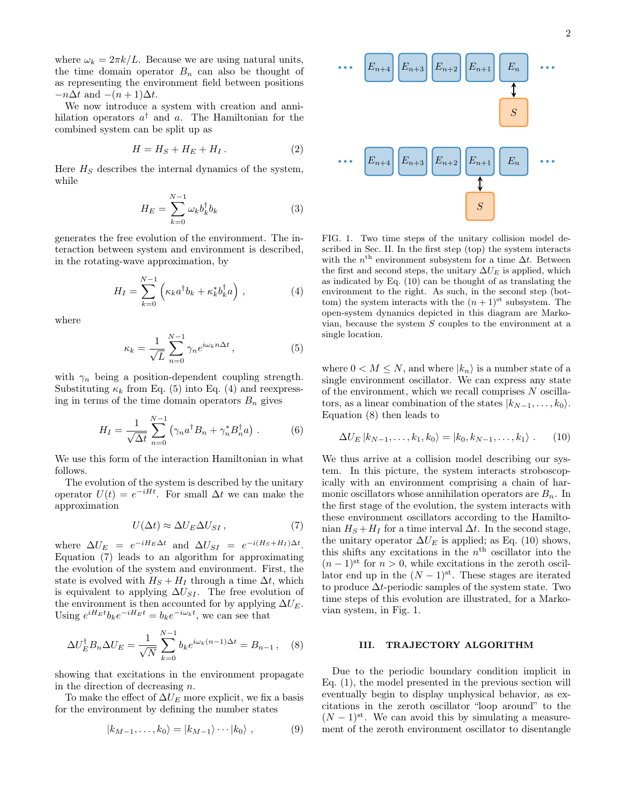where  $\omega_k = 2\pi k/L$ . Because we are using natural units, the time domain operator  $B_n$  can also be thought of as representing the environment field between positions  $-n\Delta t$  and  $-(n+1)\Delta t$ .

We now introduce a system with creation and annihilation operators  $a^{\dagger}$  and a. The Hamiltonian for the combined system can be split up as

$$
H = H_S + H_E + H_I. \tag{2}
$$

Here  $H<sub>S</sub>$  describes the internal dynamics of the system, while

$$
H_E = \sum_{k=0}^{N-1} \omega_k b_k^{\dagger} b_k \tag{3}
$$

generates the free evolution of the environment. The interaction between system and environment is described, in the rotating-wave approximation, by

<span id="page-1-2"></span>
$$
H_I = \sum_{k=0}^{N-1} \left( \kappa_k a^\dagger b_k + \kappa_k^* b_k^\dagger a \right), \tag{4}
$$

where

<span id="page-1-1"></span>
$$
\kappa_k = \frac{1}{\sqrt{L}} \sum_{n=0}^{N-1} \gamma_n e^{i\omega_k n \Delta t}, \qquad (5)
$$

with  $\gamma_n$  being a position-dependent coupling strength. Substituting  $\kappa_k$  from Eq. [\(5\)](#page-1-1) into Eq. [\(4\)](#page-1-2) and reexpressing in terms of the time domain operators  $B_n$  gives

<span id="page-1-8"></span>
$$
H_I = \frac{1}{\sqrt{\Delta t}} \sum_{n=0}^{N-1} \left( \gamma_n a^\dagger B_n + \gamma_n^* B_n^\dagger a \right) . \tag{6}
$$

We use this form of the interaction Hamiltonian in what follows.

The evolution of the system is described by the unitary operator  $U(t) = e^{-iHt}$ . For small  $\Delta t$  we can make the approximation

<span id="page-1-3"></span>
$$
U(\Delta t) \approx \Delta U_E \Delta U_{SI} \,, \tag{7}
$$

where  $\Delta U_E = e^{-iH_E\Delta t}$  and  $\Delta U_{SI} = e^{-i(H_S + H_I)\Delta t}$ . Equation [\(7\)](#page-1-3) leads to an algorithm for approximating the evolution of the system and environment. First, the state is evolved with  $H_S + H_I$  through a time  $\Delta t$ , which is equivalent to applying  $\Delta U_{SI}$ . The free evolution of the environment is then accounted for by applying  $\Delta U_E$ . Using  $e^{iH_E t}b_k e^{-iH_E t} = b_k e^{-i\omega_k t}$ , we can see that

<span id="page-1-5"></span>
$$
\Delta U_E^{\dagger} B_n \Delta U_E = \frac{1}{\sqrt{N}} \sum_{k=0}^{N-1} b_k e^{i\omega_k (n-1)\Delta t} = B_{n-1}, \quad (8)
$$

showing that excitations in the environment propagate in the direction of decreasing  $n$ .

To make the effect of  $\Delta U_E$  more explicit, we fix a basis for the environment by defining the number states

<span id="page-1-7"></span>
$$
|k_{M-1},\ldots,k_0\rangle = |k_{M-1}\rangle\cdots|k_0\rangle , \qquad (9)
$$



<span id="page-1-6"></span>FIG. 1. Two time steps of the unitary collision model described in Sec. [II.](#page-0-1) In the first step (top) the system interacts with the  $n^{\text{th}}$  environment subsystem for a time  $\Delta t$ . Between the first and second steps, the unitary  $\Delta U_E$  is applied, which as indicated by Eq. [\(10\)](#page-1-4) can be thought of as translating the environment to the right. As such, in the second step (bottom) the system interacts with the  $(n+1)$ <sup>st</sup> subsystem. The open-system dynamics depicted in this diagram are Markovian, because the system  $S$  couples to the environment at a single location.

where  $0 < M \leq N$ , and where  $|k_n\rangle$  is a number state of a single environment oscillator. We can express any state of the environment, which we recall comprises  $N$  oscillators, as a linear combination of the states  $|k_{N-1}, \ldots, k_0\rangle$ . Equation [\(8\)](#page-1-5) then leads to

<span id="page-1-4"></span>
$$
\Delta U_E | k_{N-1}, \dots, k_1, k_0 \rangle = | k_0, k_{N-1}, \dots, k_1 \rangle . \tag{10}
$$

We thus arrive at a collision model describing our system. In this picture, the system interacts stroboscopically with an environment comprising a chain of harmonic oscillators whose annihilation operators are  $B_n$ . In the first stage of the evolution, the system interacts with these environment oscillators according to the Hamiltonian  $H_S + H_I$  for a time interval  $\Delta t$ . In the second stage, the unitary operator  $\Delta U_E$  is applied; as Eq. [\(10\)](#page-1-4) shows, this shifts any excitations in the  $n<sup>th</sup>$  oscillator into the  $(n-1)$ <sup>st</sup> for  $n > 0$ , while excitations in the zeroth oscillator end up in the  $(N-1)$ <sup>st</sup>. These stages are iterated to produce  $\Delta t$ -periodic samples of the system state. Two time steps of this evolution are illustrated, for a Markovian system, in Fig. [1.](#page-1-6)

#### <span id="page-1-0"></span>III. TRAJECTORY ALGORITHM

Due to the periodic boundary condition implicit in Eq. [\(1\)](#page-0-2), the model presented in the previous section will eventually begin to display unphysical behavior, as excitations in the zeroth oscillator "loop around" to the  $(N-1)$ <sup>st</sup>. We can avoid this by simulating a measurement of the zeroth environment oscillator to disentangle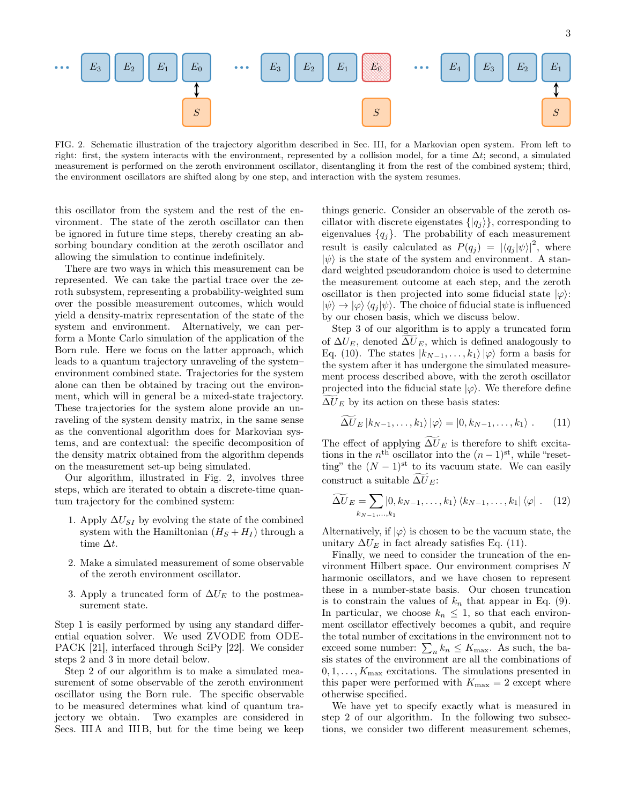

<span id="page-2-0"></span>FIG. 2. Schematic illustration of the trajectory algorithm described in Sec. [III,](#page-1-0) for a Markovian open system. From left to right: first, the system interacts with the environment, represented by a collision model, for a time  $\Delta t$ ; second, a simulated measurement is performed on the zeroth environment oscillator, disentangling it from the rest of the combined system; third, the environment oscillators are shifted along by one step, and interaction with the system resumes.

this oscillator from the system and the rest of the environment. The state of the zeroth oscillator can then be ignored in future time steps, thereby creating an absorbing boundary condition at the zeroth oscillator and allowing the simulation to continue indefinitely.

There are two ways in which this measurement can be represented. We can take the partial trace over the zeroth subsystem, representing a probability-weighted sum over the possible measurement outcomes, which would yield a density-matrix representation of the state of the system and environment. Alternatively, we can perform a Monte Carlo simulation of the application of the Born rule. Here we focus on the latter approach, which leads to a quantum trajectory unraveling of the system– environment combined state. Trajectories for the system alone can then be obtained by tracing out the environment, which will in general be a mixed-state trajectory. These trajectories for the system alone provide an unraveling of the system density matrix, in the same sense as the conventional algorithm does for Markovian systems, and are contextual: the specific decomposition of the density matrix obtained from the algorithm depends on the measurement set-up being simulated.

Our algorithm, illustrated in Fig. [2,](#page-2-0) involves three steps, which are iterated to obtain a discrete-time quantum trajectory for the combined system:

- <span id="page-2-1"></span>1. Apply  $\Delta U_{SI}$  by evolving the state of the combined system with the Hamiltonian  $(H_S + H_I)$  through a time  $\Delta t$ .
- <span id="page-2-2"></span>2. Make a simulated measurement of some observable of the zeroth environment oscillator.
- <span id="page-2-3"></span>3. Apply a truncated form of  $\Delta U_F$  to the postmeasurement state.

Step [1](#page-2-1) is easily performed by using any standard differential equation solver. We used ZVODE from ODE-PACK [\[21\]](#page-7-8), interfaced through SciPy [\[22\]](#page-7-9). We consider steps [2](#page-2-2) and [3](#page-2-3) in more detail below.

Step [2](#page-2-2) of our algorithm is to make a simulated measurement of some observable of the zeroth environment oscillator using the Born rule. The specific observable to be measured determines what kind of quantum trajectory we obtain. Two examples are considered in Secs. [III A](#page-3-0) and [III B,](#page-3-1) but for the time being we keep

things generic. Consider an observable of the zeroth oscillator with discrete eigenstates  $\{|q_i\rangle\}$ , corresponding to eigenvalues  ${q_j}$ . The probability of each measurement result is easily calculated as  $P(q_j) = |\langle q_j | \psi \rangle|^2$ , where  $|\psi\rangle$  is the state of the system and environment. A standard weighted pseudorandom choice is used to determine the measurement outcome at each step, and the zeroth oscillator is then projected into some fiducial state  $|\varphi\rangle$ :  $|\psi\rangle \rightarrow |\varphi\rangle \langle q_i |\psi\rangle$ . The choice of fiducial state is influenced by our chosen basis, which we discuss below.

Step [3](#page-2-3) of our algorithm is to apply a truncated form of  $\Delta U_E$ , denoted  $\Delta U_E$ , which is defined analogously to Eq. [\(10\)](#page-1-4). The states  $|k_{N-1}, \ldots, k_1\rangle |\varphi\rangle$  form a basis for the system after it has undergone the simulated measurement process described above, with the zeroth oscillator projected into the fiducial state  $|\varphi\rangle$ . We therefore define  $\Delta U_E$  by its action on these basis states:

<span id="page-2-4"></span>
$$
\Delta U_E |k_{N-1}, \dots, k_1\rangle |\varphi\rangle = |0, k_{N-1}, \dots, k_1\rangle . \tag{11}
$$

The effect of applying  $\Delta U_E$  is therefore to shift excitations in the  $n^{\text{th}}$  oscillator into the  $(n-1)^{\text{st}}$ , while "resetting" the  $(N-1)$ <sup>st</sup> to its vacuum state. We can easily construct a suitable  $\widetilde{\Delta U}_E$ :

$$
\widetilde{\Delta U}_E = \sum_{k_{N-1},\dots,k_1} \langle 0, k_{N-1},\dots,k_1 \rangle \langle k_{N-1},\dots,k_1 | \langle \varphi | . \quad (12)
$$

Alternatively, if  $|\varphi\rangle$  is chosen to be the vacuum state, the unitary  $\Delta U_F$  in fact already satisfies Eq. [\(11\)](#page-2-4).

Finally, we need to consider the truncation of the environment Hilbert space. Our environment comprises N harmonic oscillators, and we have chosen to represent these in a number-state basis. Our chosen truncation is to constrain the values of  $k_n$  that appear in Eq. [\(9\)](#page-1-7). In particular, we choose  $k_n \leq 1$ , so that each environment oscillator effectively becomes a qubit, and require the total number of excitations in the environment not to exceed some number:  $\sum_{n} k_n \leq K_{\text{max}}$ . As such, the basis states of the environment are all the combinations of  $0, 1, \ldots, K_{\text{max}}$  excitations. The simulations presented in this paper were performed with  $K_{\text{max}} = 2$  except where otherwise specified.

We have yet to specify exactly what is measured in step [2](#page-2-2) of our algorithm. In the following two subsections, we consider two different measurement schemes,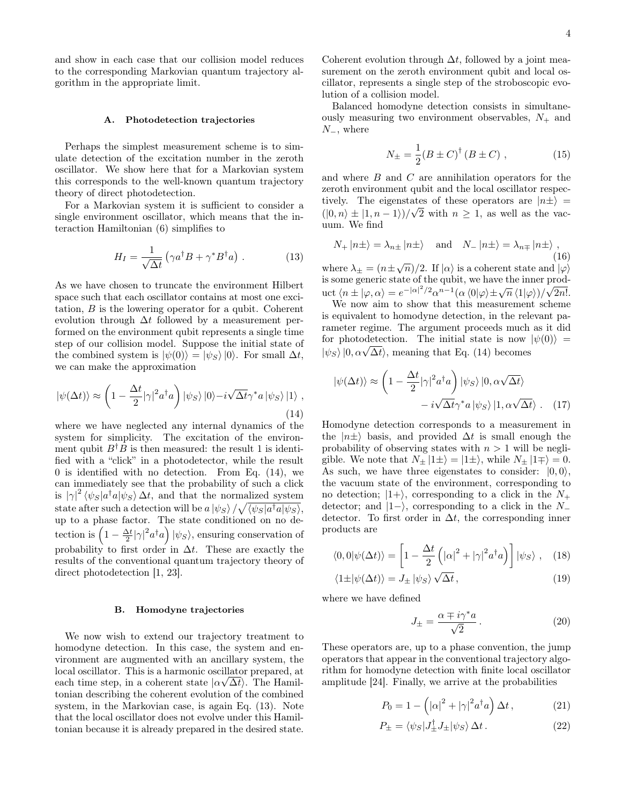and show in each case that our collision model reduces to the corresponding Markovian quantum trajectory algorithm in the appropriate limit.

## <span id="page-3-0"></span>A. Photodetection trajectories

Perhaps the simplest measurement scheme is to simulate detection of the excitation number in the zeroth oscillator. We show here that for a Markovian system this corresponds to the well-known quantum trajectory theory of direct photodetection.

For a Markovian system it is sufficient to consider a single environment oscillator, which means that the interaction Hamiltonian [\(6\)](#page-1-8) simplifies to

<span id="page-3-3"></span>
$$
H_I = \frac{1}{\sqrt{\Delta t}} \left( \gamma a^\dagger B + \gamma^* B^\dagger a \right) . \tag{13}
$$

As we have chosen to truncate the environment Hilbert space such that each oscillator contains at most one excitation, B is the lowering operator for a qubit. Coherent evolution through  $\Delta t$  followed by a measurement performed on the environment qubit represents a single time step of our collision model. Suppose the initial state of the combined system is  $|\psi(0)\rangle = |\psi_S\rangle|0\rangle$ . For small  $\Delta t$ , we can make the approximation

<span id="page-3-2"></span>
$$
|\psi(\Delta t)\rangle \approx \left(1 - \frac{\Delta t}{2} |\gamma|^2 a^{\dagger} a\right) |\psi_S\rangle |0\rangle - i \sqrt{\Delta t} \gamma^* a |\psi_S\rangle |1\rangle ,
$$
\n(14)

where we have neglected any internal dynamics of the system for simplicity. The excitation of the environment qubit  $B^{\dagger}B$  is then measured: the result 1 is identified with a "click" in a photodetector, while the result 0 is identified with no detection. From Eq. [\(14\)](#page-3-2), we can immediately see that the probability of such a click is  $|\gamma|^2 \langle \psi_S | a^\dagger a | \psi_S \rangle \Delta t$ , and that the normalized system state after such a detection will be  $a\ket{\psi_S}/\sqrt{\langle \psi_S|a^\dagger a |\psi_S \rangle},$ up to a phase factor. The state conditioned on no detection is  $\left(1 - \frac{\Delta t}{2} |\gamma|^2 a^{\dagger} a\right) |\psi_S\rangle$ , ensuring conservation of probability to first order in  $\Delta t$ . These are exactly the results of the conventional quantum trajectory theory of direct photodetection [\[1,](#page-6-0) [23\]](#page-7-10).

#### <span id="page-3-1"></span>B. Homodyne trajectories

We now wish to extend our trajectory treatment to homodyne detection. In this case, the system and environment are augmented with an ancillary system, the local oscillator. This is a harmonic oscillator prepared, at √ each time step, in a coherent state  $|\alpha \sqrt{\Delta t}|$ . The Hamiltonian describing the coherent evolution of the combined system, in the Markovian case, is again Eq. [\(13\)](#page-3-3). Note that the local oscillator does not evolve under this Hamiltonian because it is already prepared in the desired state.

Coherent evolution through  $\Delta t$ , followed by a joint measurement on the zeroth environment qubit and local oscillator, represents a single step of the stroboscopic evolution of a collision model.

Balanced homodyne detection consists in simultaneously measuring two environment observables,  $N_{+}$  and  $N_-,$  where

$$
N_{\pm} = \frac{1}{2} (B \pm C)^{\dagger} (B \pm C) , \qquad (15)
$$

and where B and C are annihilation operators for the zeroth environment qubit and the local oscillator respectively. The eigenstates of these operators are  $|n\pm\rangle =$  $(|0, n \rangle \pm |1, n - 1\rangle)/\sqrt{2}$  with  $n \geq 1$ , as well as the vacuum. We find

$$
N_{+} |n\pm\rangle = \lambda_{n\pm} |n\pm\rangle
$$
 and  $N_{-} |n\pm\rangle = \lambda_{n\mp} |n\pm\rangle$ , (16)

where  $\lambda_{\pm} = (n \pm \sqrt{n})/2$ . If  $|\alpha\rangle$  is a coherent state and  $|\varphi\rangle$ is some generic state of the qubit, we have the inner product  $\langle n \pm |\varphi, \alpha \rangle = e^{-|\alpha|^2/2} \alpha^{n-1} (\alpha \langle 0 | \varphi \rangle \pm \sqrt{n} \langle 1 | \varphi \rangle)/\sqrt{2n!}$ .

We now aim to show that this measurement scheme is equivalent to homodyne detection, in the relevant parameter regime. The argument proceeds much as it did for photodetection. The initial state is now  $|\psi(0)\rangle$  = for photodetection. The initial state is now<br> $|\psi_S\rangle |0, \alpha \sqrt{\Delta t} \rangle$ , meaning that Eq. [\(14\)](#page-3-2) becomes

$$
|\psi(\Delta t)\rangle \approx \left(1 - \frac{\Delta t}{2} |\gamma|^2 a^{\dagger} a\right) |\psi_S\rangle |0, \alpha \sqrt{\Delta t}\rangle
$$

$$
- i \sqrt{\Delta t} \gamma^* a |\psi_S\rangle |1, \alpha \sqrt{\Delta t}\rangle . \quad (17)
$$

Homodyne detection corresponds to a measurement in the  $|n\pm\rangle$  basis, and provided  $\Delta t$  is small enough the probability of observing states with  $n > 1$  will be negligible. We note that  $N_{\pm} |1 \pm \rangle = |1 \pm \rangle$ , while  $N_{\pm} |1 \mp \rangle = 0$ . As such, we have three eigenstates to consider:  $|0, 0\rangle$ , the vacuum state of the environment, corresponding to no detection;  $|1+\rangle$ , corresponding to a click in the  $N_+$ detector; and  $|1-\rangle$ , corresponding to a click in the N<sub>−</sub> detector. To first order in  $\Delta t$ , the corresponding inner products are

$$
\langle 0,0|\psi(\Delta t)\rangle = \left[1 - \frac{\Delta t}{2}\left(|\alpha|^2 + |\gamma|^2 a^\dagger a\right)\right]|\psi_S\rangle , \quad (18)
$$

$$
\langle 1 \pm |\psi(\Delta t)\rangle = J_{\pm} |\psi_S\rangle \sqrt{\Delta t}, \qquad (19)
$$

where we have defined

<span id="page-3-5"></span>
$$
J_{\pm} = \frac{\alpha \mp i\gamma^* a}{\sqrt{2}}.
$$
 (20)

These operators are, up to a phase convention, the jump operators that appear in the conventional trajectory algorithm for homodyne detection with finite local oscillator amplitude [\[24\]](#page-7-11). Finally, we arrive at the probabilities

<span id="page-3-4"></span>
$$
P_0 = 1 - \left( |\alpha|^2 + |\gamma|^2 a^\dagger a \right) \Delta t, \qquad (21)
$$

$$
P_{\pm} = \langle \psi_S | J_{\pm}^{\dagger} J_{\pm} | \psi_S \rangle \, \Delta t \,. \tag{22}
$$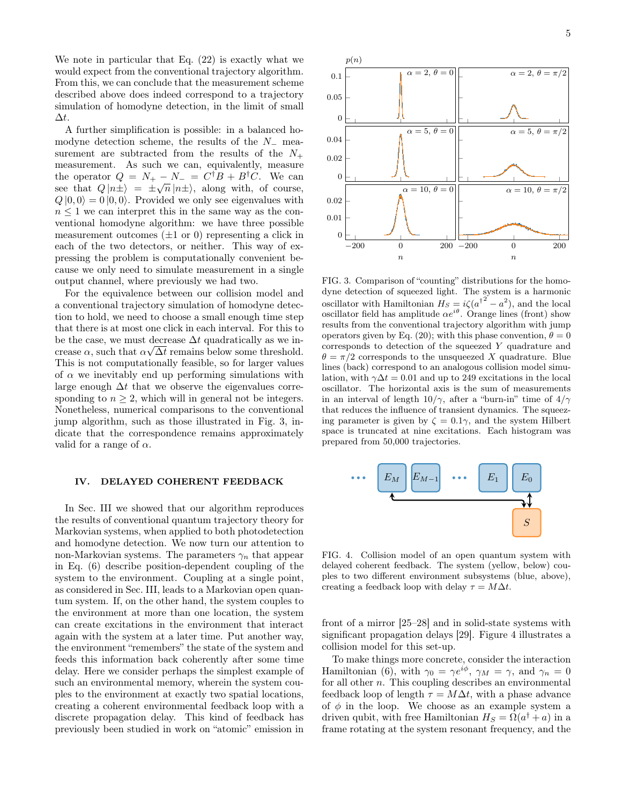We note in particular that Eq. [\(22\)](#page-3-4) is exactly what we would expect from the conventional trajectory algorithm. From this, we can conclude that the measurement scheme described above does indeed correspond to a trajectory simulation of homodyne detection, in the limit of small  $\Delta t$ .

A further simplification is possible: in a balanced homodyne detection scheme, the results of the N<sup>−</sup> measurement are subtracted from the results of the  $N_+$ measurement. As such we can, equivalently, measure the operator  $Q = N_+ - N_- = C^{\dagger}B + B^{\dagger}C$ . We can see that  $Q | n \pm \rangle = \pm \sqrt{n} | n \pm \rangle$ , along with, of course,  $Q|0,0\rangle = 0|0,0\rangle$ . Provided we only see eigenvalues with  $n \leq 1$  we can interpret this in the same way as the conventional homodyne algorithm: we have three possible measurement outcomes  $(\pm 1 \text{ or } 0)$  representing a click in each of the two detectors, or neither. This way of expressing the problem is computationally convenient because we only need to simulate measurement in a single output channel, where previously we had two.

For the equivalence between our collision model and a conventional trajectory simulation of homodyne detection to hold, we need to choose a small enough time step that there is at most one click in each interval. For this to be the case, we must decrease  $\Delta t$  quadratically as we increase  $\alpha$ , such that  $\alpha \sqrt{\Delta t}$  remains below some threshold. This is not computationally feasible, so for larger values of  $\alpha$  we inevitably end up performing simulations with large enough  $\Delta t$  that we observe the eigenvalues corresponding to  $n \geq 2$ , which will in general not be integers. Nonetheless, numerical comparisons to the conventional jump algorithm, such as those illustrated in Fig. [3,](#page-4-1) indicate that the correspondence remains approximately valid for a range of  $\alpha$ .

#### <span id="page-4-0"></span>IV. DELAYED COHERENT FEEDBACK

In Sec. [III](#page-1-0) we showed that our algorithm reproduces the results of conventional quantum trajectory theory for Markovian systems, when applied to both photodetection and homodyne detection. We now turn our attention to non-Markovian systems. The parameters  $\gamma_n$  that appear in Eq. [\(6\)](#page-1-8) describe position-dependent coupling of the system to the environment. Coupling at a single point, as considered in Sec. [III,](#page-1-0) leads to a Markovian open quantum system. If, on the other hand, the system couples to the environment at more than one location, the system can create excitations in the environment that interact again with the system at a later time. Put another way, the environment "remembers" the state of the system and feeds this information back coherently after some time delay. Here we consider perhaps the simplest example of such an environmental memory, wherein the system couples to the environment at exactly two spatial locations, creating a coherent environmental feedback loop with a discrete propagation delay. This kind of feedback has previously been studied in work on "atomic" emission in



<span id="page-4-1"></span>FIG. 3. Comparison of "counting" distributions for the homodyne detection of squeezed light. The system is a harmonic oscillator with Hamiltonian  $H_S = i\zeta (a^{\dagger^2} - a^2)$ , and the local oscillator field has amplitude  $\alpha e^{i\theta}$ . Orange lines (front) show results from the conventional trajectory algorithm with jump operators given by Eq. [\(20\)](#page-3-5); with this phase convention,  $\theta = 0$ corresponds to detection of the squeezed Y quadrature and  $\theta = \pi/2$  corresponds to the unsqueezed X quadrature. Blue lines (back) correspond to an analogous collision model simulation, with  $\gamma \Delta t = 0.01$  and up to 249 excitations in the local oscillator. The horizontal axis is the sum of measurements in an interval of length  $10/\gamma$ , after a "burn-in" time of  $4/\gamma$ that reduces the influence of transient dynamics. The squeezing parameter is given by  $\zeta = 0.1\gamma$ , and the system Hilbert space is truncated at nine excitations. Each histogram was prepared from 50,000 trajectories.



<span id="page-4-2"></span>FIG. 4. Collision model of an open quantum system with delayed coherent feedback. The system (yellow, below) couples to two different environment subsystems (blue, above), creating a feedback loop with delay  $\tau = M\Delta t$ .

front of a mirror [\[25](#page-7-12)[–28\]](#page-7-13) and in solid-state systems with significant propagation delays [\[29\]](#page-7-14). Figure [4](#page-4-2) illustrates a collision model for this set-up.

To make things more concrete, consider the interaction Hamiltonian [\(6\)](#page-1-8), with  $\gamma_0 = \gamma e^{i\phi}$ ,  $\gamma_M = \gamma$ , and  $\gamma_n = 0$ for all other  $n$ . This coupling describes an environmental feedback loop of length  $\tau = M\Delta t$ , with a phase advance of  $\phi$  in the loop. We choose as an example system a driven qubit, with free Hamiltonian  $H_S = \Omega(a^{\dagger} + a)$  in a frame rotating at the system resonant frequency, and the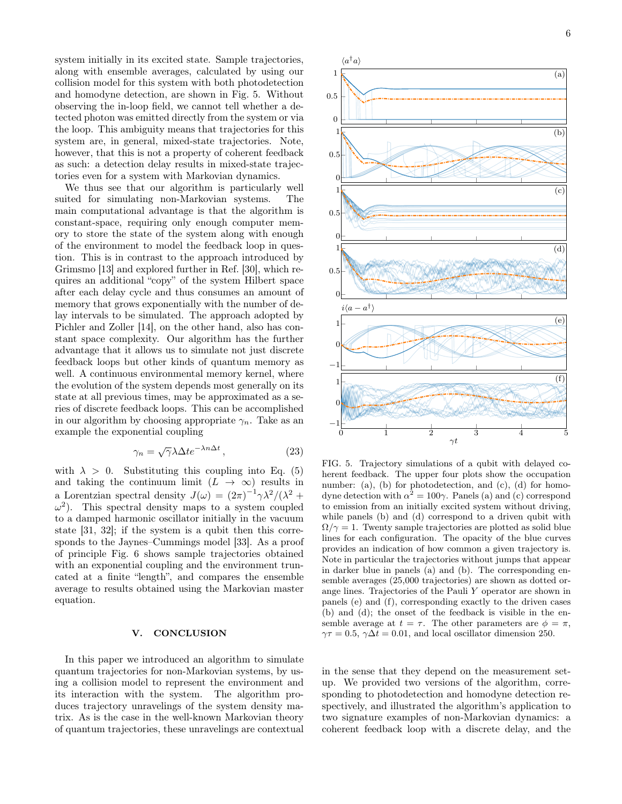system initially in its excited state. Sample trajectories, along with ensemble averages, calculated by using our collision model for this system with both photodetection and homodyne detection, are shown in Fig. [5.](#page-5-1) Without observing the in-loop field, we cannot tell whether a detected photon was emitted directly from the system or via the loop. This ambiguity means that trajectories for this system are, in general, mixed-state trajectories. Note, however, that this is not a property of coherent feedback as such: a detection delay results in mixed-state trajectories even for a system with Markovian dynamics.

We thus see that our algorithm is particularly well suited for simulating non-Markovian systems. The main computational advantage is that the algorithm is constant-space, requiring only enough computer memory to store the state of the system along with enough of the environment to model the feedback loop in question. This is in contrast to the approach introduced by Grimsmo [\[13\]](#page-7-1) and explored further in Ref. [\[30\]](#page-7-15), which requires an additional "copy" of the system Hilbert space after each delay cycle and thus consumes an amount of memory that grows exponentially with the number of delay intervals to be simulated. The approach adopted by Pichler and Zoller [\[14\]](#page-7-2), on the other hand, also has constant space complexity. Our algorithm has the further advantage that it allows us to simulate not just discrete feedback loops but other kinds of quantum memory as well. A continuous environmental memory kernel, where the evolution of the system depends most generally on its state at all previous times, may be approximated as a series of discrete feedback loops. This can be accomplished in our algorithm by choosing appropriate  $\gamma_n$ . Take as an example the exponential coupling

<span id="page-5-2"></span>
$$
\gamma_n = \sqrt{\gamma} \lambda \Delta t e^{-\lambda n \Delta t}, \qquad (23)
$$

with  $\lambda > 0$ . Substituting this coupling into Eq. [\(5\)](#page-1-1) and taking the continuum limit  $(L \to \infty)$  results in a Lorentzian spectral density  $J(\omega) = (2\pi)^{-1} \gamma \lambda^2/(\lambda^2 +$  $\omega^2$ ). This spectral density maps to a system coupled to a damped harmonic oscillator initially in the vacuum state [\[31,](#page-7-16) [32\]](#page-7-17); if the system is a qubit then this corresponds to the Jaynes–Cummings model [\[33\]](#page-7-18). As a proof of principle Fig. [6](#page-6-6) shows sample trajectories obtained with an exponential coupling and the environment truncated at a finite "length", and compares the ensemble average to results obtained using the Markovian master equation.

## <span id="page-5-0"></span>V. CONCLUSION

In this paper we introduced an algorithm to simulate quantum trajectories for non-Markovian systems, by using a collision model to represent the environment and its interaction with the system. The algorithm produces trajectory unravelings of the system density matrix. As is the case in the well-known Markovian theory of quantum trajectories, these unravelings are contextual



<span id="page-5-1"></span>FIG. 5. Trajectory simulations of a qubit with delayed coherent feedback. The upper four plots show the occupation number: (a), (b) for photodetection, and (c), (d) for homodyne detection with  $\alpha^2 = 100\gamma$ . Panels (a) and (c) correspond to emission from an initially excited system without driving, while panels (b) and (d) correspond to a driven qubit with  $\Omega/\gamma = 1$ . Twenty sample trajectories are plotted as solid blue lines for each configuration. The opacity of the blue curves provides an indication of how common a given trajectory is. Note in particular the trajectories without jumps that appear in darker blue in panels (a) and (b). The corresponding ensemble averages (25,000 trajectories) are shown as dotted orange lines. Trajectories of the Pauli Y operator are shown in panels (e) and (f), corresponding exactly to the driven cases (b) and (d); the onset of the feedback is visible in the ensemble average at  $t = \tau$ . The other parameters are  $\phi = \pi$ ,  $\gamma \tau = 0.5$ ,  $\gamma \Delta t = 0.01$ , and local oscillator dimension 250.

in the sense that they depend on the measurement setup. We provided two versions of the algorithm, corresponding to photodetection and homodyne detection respectively, and illustrated the algorithm's application to two signature examples of non-Markovian dynamics: a coherent feedback loop with a discrete delay, and the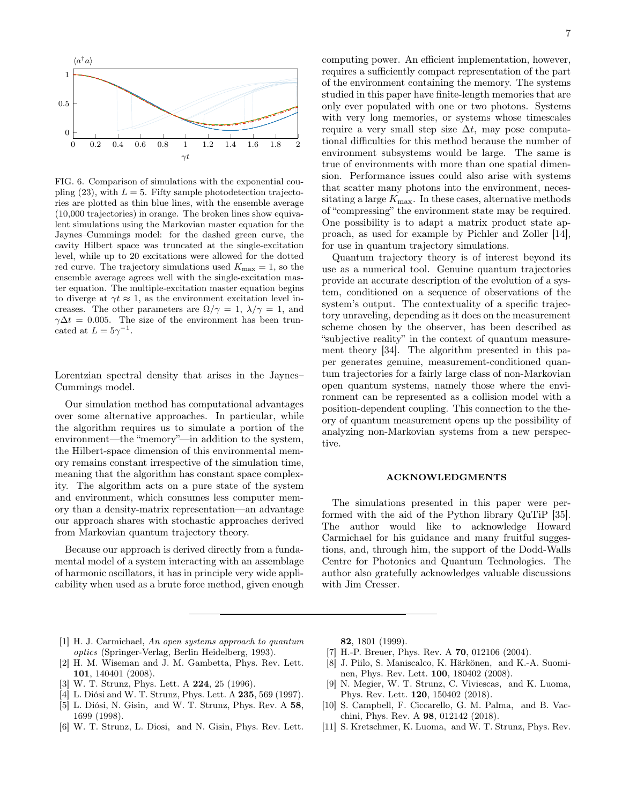

<span id="page-6-6"></span>FIG. 6. Comparison of simulations with the exponential cou-pling [\(23\)](#page-5-2), with  $L = 5$ . Fifty sample photodetection trajectories are plotted as thin blue lines, with the ensemble average (10,000 trajectories) in orange. The broken lines show equivalent simulations using the Markovian master equation for the Jaynes–Cummings model: for the dashed green curve, the cavity Hilbert space was truncated at the single-excitation level, while up to 20 excitations were allowed for the dotted red curve. The trajectory simulations used  $K_{\text{max}} = 1$ , so the ensemble average agrees well with the single-excitation master equation. The multiple-excitation master equation begins to diverge at  $\gamma t \approx 1$ , as the environment excitation level increases. The other parameters are  $\Omega/\gamma = 1$ ,  $\lambda/\gamma = 1$ , and  $\gamma \Delta t = 0.005$ . The size of the environment has been truncated at  $L = 5\gamma^{-1}$ .

Lorentzian spectral density that arises in the Jaynes– Cummings model.

Our simulation method has computational advantages over some alternative approaches. In particular, while the algorithm requires us to simulate a portion of the environment—the "memory"—in addition to the system, the Hilbert-space dimension of this environmental memory remains constant irrespective of the simulation time, meaning that the algorithm has constant space complexity. The algorithm acts on a pure state of the system and environment, which consumes less computer memory than a density-matrix representation—an advantage our approach shares with stochastic approaches derived from Markovian quantum trajectory theory.

Because our approach is derived directly from a fundamental model of a system interacting with an assemblage of harmonic oscillators, it has in principle very wide applicability when used as a brute force method, given enough computing power. An efficient implementation, however, requires a sufficiently compact representation of the part of the environment containing the memory. The systems studied in this paper have finite-length memories that are only ever populated with one or two photons. Systems with very long memories, or systems whose timescales require a very small step size  $\Delta t$ , may pose computational difficulties for this method because the number of environment subsystems would be large. The same is true of environments with more than one spatial dimension. Performance issues could also arise with systems that scatter many photons into the environment, necessitating a large  $K_{\text{max}}$ . In these cases, alternative methods of "compressing" the environment state may be required. One possibility is to adapt a matrix product state approach, as used for example by Pichler and Zoller [\[14\]](#page-7-2), for use in quantum trajectory simulations.

Quantum trajectory theory is of interest beyond its use as a numerical tool. Genuine quantum trajectories provide an accurate description of the evolution of a system, conditioned on a sequence of observations of the system's output. The contextuality of a specific trajectory unraveling, depending as it does on the measurement scheme chosen by the observer, has been described as "subjective reality" in the context of quantum measurement theory [\[34\]](#page-7-19). The algorithm presented in this paper generates genuine, measurement-conditioned quantum trajectories for a fairly large class of non-Markovian open quantum systems, namely those where the environment can be represented as a collision model with a position-dependent coupling. This connection to the theory of quantum measurement opens up the possibility of analyzing non-Markovian systems from a new perspective.

### ACKNOWLEDGMENTS

The simulations presented in this paper were performed with the aid of the Python library QuTiP [\[35\]](#page-7-20). The author would like to acknowledge Howard Carmichael for his guidance and many fruitful suggestions, and, through him, the support of the Dodd-Walls Centre for Photonics and Quantum Technologies. The author also gratefully acknowledges valuable discussions with Jim Cresser.

- <span id="page-6-0"></span>[1] H. J. Carmichael, An open systems approach to quantum optics (Springer-Verlag, Berlin Heidelberg, 1993).
- <span id="page-6-1"></span>[2] H. M. Wiseman and J. M. Gambetta, [Phys. Rev. Lett.](http://dx.doi.org/10.1103/PhysRevLett.101.140401) 101[, 140401 \(2008\).](http://dx.doi.org/10.1103/PhysRevLett.101.140401)
- <span id="page-6-2"></span>[3] W. T. Strunz, [Phys. Lett. A](https://dx.doi.org/10.1016/S0375-9601(96)00805-5) **224**, 25 (1996).
- [4] L. Diósi and W. T. Strunz, [Phys. Lett. A](https://dx.doi.org/10.1016/S0375-9601(97)00717-2) 235, 569 (1997).
- [5] L. Diósi, N. Gisin, and W. T. Strunz, [Phys. Rev. A](https://dx.doi.org/10.1103/PhysRevA.58.1699) 58, [1699 \(1998\).](https://dx.doi.org/10.1103/PhysRevA.58.1699)
- [6] W. T. Strunz, L. Diosi, and N. Gisin, [Phys. Rev. Lett.](http://dx.doi.org/10.1103/PhysRevLett.82.1801)

82[, 1801 \(1999\).](http://dx.doi.org/10.1103/PhysRevLett.82.1801)

- [7] H.-P. Breuer, Phys. Rev. A **70**[, 012106 \(2004\).](http://dx.doi.org/10.1103/PhysRevA.70.012106)
- [8] J. Piilo, S. Maniscalco, K. Härkönen, and K.-A. Suominen, [Phys. Rev. Lett.](http://dx.doi.org/10.1103/PhysRevLett.100.180402) 100, 180402 (2008).
- <span id="page-6-3"></span>[9] N. Megier, W. T. Strunz, C. Viviescas, and K. Luoma, [Phys. Rev. Lett.](https://dx.doi.org/10.1103/PhysRevLett.120.150402) 120, 150402 (2018).
- <span id="page-6-4"></span>[10] S. Campbell, F. Ciccarello, G. M. Palma, and B. Vacchini, Phys. Rev. A 98[, 012142 \(2018\).](https://dx.doi.org/10.1103/PhysRevA.98.012142)
- <span id="page-6-5"></span>[11] S. Kretschmer, K. Luoma, and W. T. Strunz, [Phys. Rev.](https://dx.doi.org/10.1103/PhysRevA.94.012106)